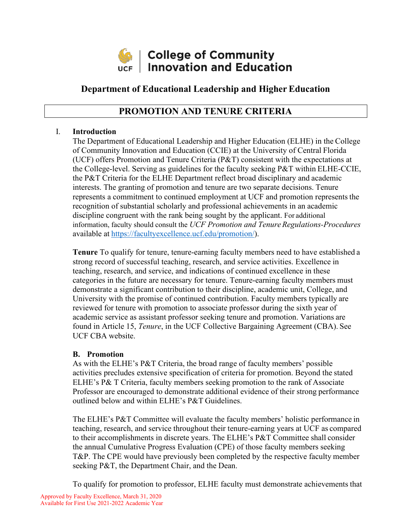

# **Department of Educational Leadership and Higher Education**

# **PROMOTION AND TENURE CRITERIA**

### I. **Introduction**

The Department of Educational Leadership and Higher Education (ELHE) in the College of Community Innovation and Education (CCIE) at the University of Central Florida (UCF) offers Promotion and Tenure Criteria (P&T) consistent with the expectations at the College-level. Serving as guidelines for the faculty seeking P&T within ELHE-CCIE, the P&T Criteria for the ELHE Department reflect broad disciplinary and academic interests. The granting of promotion and tenure are two separate decisions. Tenure represents a commitment to continued employment at UCF and promotion represents the recognition of substantial scholarly and professional achievements in an academic discipline congruent with the rank being sought by the applicant. For additional information, faculty should consult the *UCF Promotion and TenureRegulations-Procedures*  available at [https://facultyexcellence.ucf.edu/promotion/\)](https://facultyexcellence.ucf.edu/promotion/).

**Tenure** To qualify for tenure, tenure-earning faculty members need to have established a strong record of successful teaching, research, and service activities. Excellence in teaching, research, and service, and indications of continued excellence in these categories in the future are necessary for tenure. Tenure-earning faculty members must demonstrate a significant contribution to their discipline, academic unit, College, and University with the promise of continued contribution. Faculty members typically are reviewed for tenure with promotion to associate professor during the sixth year of academic service as assistant professor seeking tenure and promotion. Variations are found in Article 15, *Tenure*, in the UCF Collective Bargaining Agreement (CBA). See UCF CBA website.

#### **B. Promotion**

As with the ELHE's P&T Criteria, the broad range of faculty members' possible activities precludes extensive specification of criteria for promotion. Beyond the stated ELHE's P& T Criteria, faculty members seeking promotion to the rank of Associate Professor are encouraged to demonstrate additional evidence of their strong performance outlined below and within ELHE's P&T Guidelines.

The ELHE's P&T Committee will evaluate the faculty members' holistic performance in teaching, research, and service throughout their tenure-earning years at UCF as compared to their accomplishments in discrete years. The ELHE's P&T Committee shall consider the annual Cumulative Progress Evaluation (CPE) of those faculty members seeking T&P. The CPE would have previously been completed by the respective faculty member seeking P&T, the Department Chair, and the Dean.

To qualify for promotion to professor, ELHE faculty must demonstrate achievements that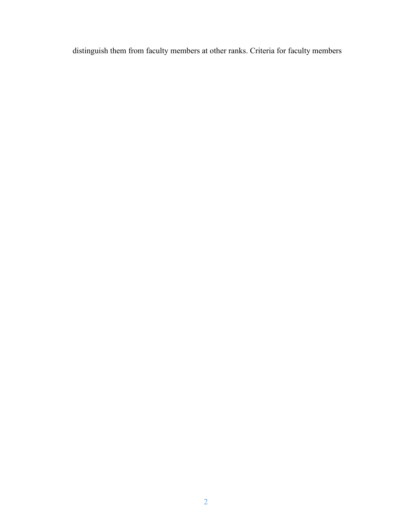distinguish them from faculty members at other ranks. Criteria for faculty members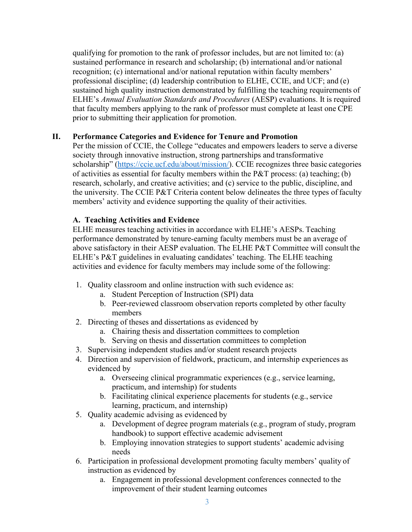qualifying for promotion to the rank of professor includes, but are not limited to: (a) sustained performance in research and scholarship; (b) international and/or national recognition; (c) international and/or national reputation within faculty members' professional discipline; (d) leadership contribution to ELHE, CCIE, and UCF; and (e) sustained high quality instruction demonstrated by fulfilling the teaching requirements of ELHE's *Annual Evaluation Standards and Procedures* (AESP) evaluations. It is required that faculty members applying to the rank of professor must complete at least one CPE prior to submitting their application for promotion.

## **II. Performance Categories and Evidence for Tenure and Promotion**

Per the mission of CCIE, the College "educates and empowers leaders to serve a diverse society through innovative instruction, strong partnerships and transformative scholarship" [\(https://ccie.ucf.edu/about/mission/\)](https://ccie.ucf.edu/about/mission/). CCIE recognizes three basic categories of activities as essential for faculty members within the P&T process: (a) teaching; (b) research, scholarly, and creative activities; and (c) service to the public, discipline, and the university. The CCIE P&T Criteria content below delineates the three types of faculty members' activity and evidence supporting the quality of their activities.

#### **A. Teaching Activities and Evidence**

ELHE measures teaching activities in accordance with ELHE's AESPs. Teaching performance demonstrated by tenure-earning faculty members must be an average of above satisfactory in their AESP evaluation. The ELHE P&T Committee will consult the ELHE's P&T guidelines in evaluating candidates' teaching. The ELHE teaching activities and evidence for faculty members may include some of the following:

- 1. Quality classroom and online instruction with such evidence as:
	- a. Student Perception of Instruction (SPI) data
	- b. Peer-reviewed classroom observation reports completed by other faculty members
- 2. Directing of theses and dissertations as evidenced by
	- a. Chairing thesis and dissertation committees to completion
	- b. Serving on thesis and dissertation committees to completion
- 3. Supervising independent studies and/or student research projects
- 4. Direction and supervision of fieldwork, practicum, and internship experiences as evidenced by
	- a. Overseeing clinical programmatic experiences (e.g., service learning, practicum, and internship) for students
	- b. Facilitating clinical experience placements for students (e.g., service learning, practicum, and internship)
- 5. Quality academic advising as evidenced by
	- a. Development of degree program materials (e.g., program of study, program handbook) to support effective academic advisement
	- b. Employing innovation strategies to support students' academic advising needs
- 6. Participation in professional development promoting faculty members' quality of instruction as evidenced by
	- a. Engagement in professional development conferences connected to the improvement of their student learning outcomes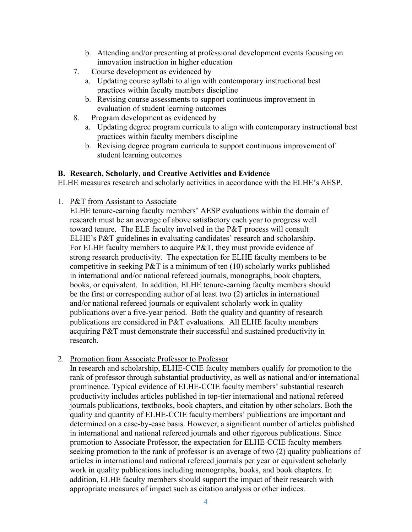- b. Attending and/or presenting at professional development events focusing on innovation instruction in higher education
- 7. Course development as evidenced by
	- a. Updating course syllabi to align with contemporary instructional best practices within faculty members discipline
	- b. Revising course assessments to support continuous improvement in evaluation of student learning outcomes
- 8. Program development as evidenced by
	- a. Updating degree program curricula to align with contemporary instructional best practices within faculty members discipline
	- b. Revising degree program curricula to support continuous improvement of student learning outcomes

### **B. Research, Scholarly, and Creative Activities and Evidence**

ELHE measures research and scholarly activities in accordance with the ELHE's AESP.

1. P&T from Assistant to Associate

ELHE tenure-earning faculty members' AESP evaluations within the domain of research must be an average of above satisfactory each year to progress well toward tenure. The ELE faculty involved in the P&T process will consult ELHE's P&T guidelines in evaluating candidates' research and scholarship. For ELHE faculty members to acquire P&T, they must provide evidence of strong research productivity. The expectation for ELHE faculty members to be competitive in seeking  $P\&T$  is a minimum of ten (10) scholarly works published in international and/or national refereed journals, monographs, book chapters, books, or equivalent. In addition, ELHE tenure-earning faculty members should be the first or corresponding author of at least two (2) articles in international and/or national refereed journals or equivalent scholarly work in quality publications over a five-year period. Both the quality and quantity of research publications are considered in P&T evaluations. All ELHE faculty members acquiring P&T must demonstrate their successful and sustained productivity in research.

2. Promotion from Associate Professor to Professor

In research and scholarship, ELHE-CCIE faculty members qualify for promotion to the rank of professor through substantial productivity, as well as national and/or international prominence. Typical evidence of ELHE-CCIE faculty members' substantial research productivity includes articles published in top-tier international and national refereed journals publications, textbooks, book chapters, and citation by other scholars. Both the quality and quantity of ELHE-CCIE faculty members' publications are important and determined on a case-by-case basis. However, a significant number of articles published in international and national refereed journals and other rigorous publications. Since promotion to Associate Professor, the expectation for ELHE-CCIE faculty members seeking promotion to the rank of professor is an average of two (2) quality publications of articles in international and national refereed journals per year or equivalent scholarly work in quality publications including monographs, books, and book chapters. In addition, ELHE faculty members should support the impact of their research with appropriate measures of impact such as citation analysis or other indices.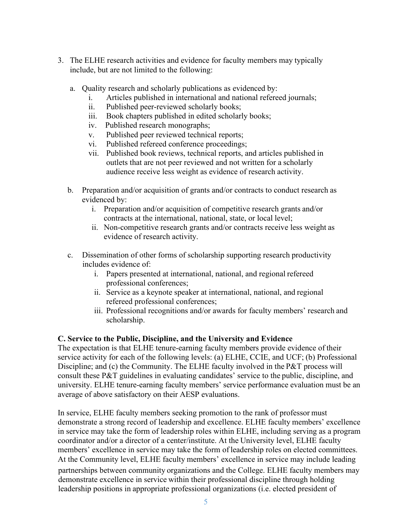- 3. The ELHE research activities and evidence for faculty members may typically include, but are not limited to the following:
	- a. Quality research and scholarly publications as evidenced by:
		- i. Articles published in international and national refereed journals;
		- ii. Published peer-reviewed scholarly books;
		- iii. Book chapters published in edited scholarly books;
		- iv. Published research monographs;
		- v. Published peer reviewed technical reports;
		- vi. Published refereed conference proceedings;
		- vii. Published book reviews, technical reports, and articles published in outlets that are not peer reviewed and not written for a scholarly audience receive less weight as evidence of research activity.
	- b. Preparation and/or acquisition of grants and/or contracts to conduct research as evidenced by:
		- i. Preparation and/or acquisition of competitive research grants and/or contracts at the international, national, state, or local level;
		- ii. Non-competitive research grants and/or contracts receive less weight as evidence of research activity.
	- c. Dissemination of other forms of scholarship supporting research productivity includes evidence of:
		- i. Papers presented at international, national, and regional refereed professional conferences;
		- ii. Service as a keynote speaker at international, national, and regional refereed professional conferences;
		- iii. Professional recognitions and/or awards for faculty members' research and scholarship.

## **C. Service to the Public, Discipline, and the University and Evidence**

The expectation is that ELHE tenure-earning faculty members provide evidence of their service activity for each of the following levels: (a) ELHE, CCIE, and UCF; (b) Professional Discipline; and (c) the Community. The ELHE faculty involved in the P&T process will consult these P&T guidelines in evaluating candidates' service to the public, discipline, and university. ELHE tenure-earning faculty members' service performance evaluation must be an average of above satisfactory on their AESP evaluations.

In service, ELHE faculty members seeking promotion to the rank of professor must demonstrate a strong record of leadership and excellence. ELHE faculty members' excellence in service may take the form of leadership roles within ELHE, including serving as a program coordinator and/or a director of a center/institute. At the University level, ELHE faculty members' excellence in service may take the form of leadership roles on elected committees. At the Community level, ELHE faculty members' excellence in service may include leading partnerships between community organizations and the College. ELHE faculty members may demonstrate excellence in service within their professional discipline through holding leadership positions in appropriate professional organizations (i.e. elected president of